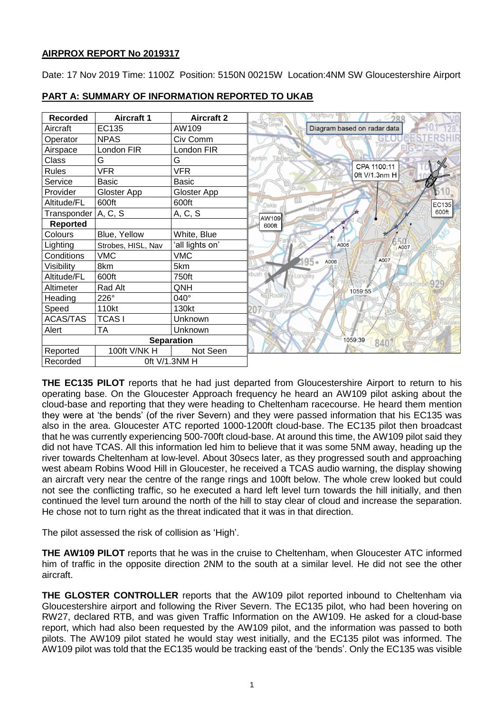# **AIRPROX REPORT No 2019317**

Date: 17 Nov 2019 Time: 1100Z Position: 5150N 00215W Location:4NM SW Gloucestershire Airport

| <b>Recorded</b>   | <b>Aircraft 1</b>  | <b>Aircraft 2</b> |                                       |
|-------------------|--------------------|-------------------|---------------------------------------|
| Aircraft          | EC135              | AW109             | Diagram based on radar data           |
| Operator          | <b>NPAS</b>        | Civ Comm          |                                       |
| Airspace          | London FIR         | London FIR        |                                       |
| Class             | G                  | G                 | Tibberto<br>aynton                    |
| <b>Rules</b>      | <b>VFR</b>         | <b>VFR</b>        | CPA 1100:11<br>0ft V/1.3nm H          |
| Service           | Basic              | Basic             |                                       |
| Provider          | Gloster App        | Gloster App       |                                       |
| Altitude/FL       | 600ft              | 600ft             | EC135<br>Oakle                        |
| Transponder       | A, C, S            | A, C, S           | <b>finsterworth</b><br>600ft<br>AW109 |
| <b>Reported</b>   |                    |                   | 600ft                                 |
| Colours           | Blue, Yellow       | White, Blue       |                                       |
| Lighting          | Strobes, HISL, Nav | 'all lights on'   | A006<br>A007                          |
| Conditions        | <b>VMC</b>         | <b>VMC</b>        | A007<br>A006                          |
| Visibility        | 8km                | 5km               |                                       |
| Altitude/FL       | 600ft              | 750ft             | bush                                  |
| Altimeter         | Rad Alt            | QNH               | 929<br><b>EBrookthi</b><br>1059:55    |
| Heading           | 226°               | 040°              |                                       |
| Speed             | 110kt              | 130kt             |                                       |
| <b>ACAS/TAS</b>   | <b>TCASI</b>       | Unknown           |                                       |
| Alert             | <b>TA</b>          | Unknown           |                                       |
| <b>Separation</b> |                    |                   | 1059:39<br>840                        |
| Reported          | 100ft V/NK H       | Not Seen          |                                       |
| Recorded          | 0ft V/1.3NM H      |                   |                                       |

# **PART A: SUMMARY OF INFORMATION REPORTED TO UKAB**

**THE EC135 PILOT** reports that he had just departed from Gloucestershire Airport to return to his operating base. On the Gloucester Approach frequency he heard an AW109 pilot asking about the cloud-base and reporting that they were heading to Cheltenham racecourse. He heard them mention they were at 'the bends' (of the river Severn) and they were passed information that his EC135 was also in the area. Gloucester ATC reported 1000-1200ft cloud-base. The EC135 pilot then broadcast that he was currently experiencing 500-700ft cloud-base. At around this time, the AW109 pilot said they did not have TCAS. All this information led him to believe that it was some 5NM away, heading up the river towards Cheltenham at low-level. About 30secs later, as they progressed south and approaching west abeam Robins Wood Hill in Gloucester, he received a TCAS audio warning, the display showing an aircraft very near the centre of the range rings and 100ft below. The whole crew looked but could not see the conflicting traffic, so he executed a hard left level turn towards the hill initially, and then continued the level turn around the north of the hill to stay clear of cloud and increase the separation. He chose not to turn right as the threat indicated that it was in that direction.

The pilot assessed the risk of collision as 'High'.

**THE AW109 PILOT** reports that he was in the cruise to Cheltenham, when Gloucester ATC informed him of traffic in the opposite direction 2NM to the south at a similar level. He did not see the other aircraft.

**THE GLOSTER CONTROLLER** reports that the AW109 pilot reported inbound to Cheltenham via Gloucestershire airport and following the River Severn. The EC135 pilot, who had been hovering on RW27, declared RTB, and was given Traffic Information on the AW109. He asked for a cloud-base report, which had also been requested by the AW109 pilot, and the information was passed to both pilots. The AW109 pilot stated he would stay west initially, and the EC135 pilot was informed. The AW109 pilot was told that the EC135 would be tracking east of the 'bends'. Only the EC135 was visible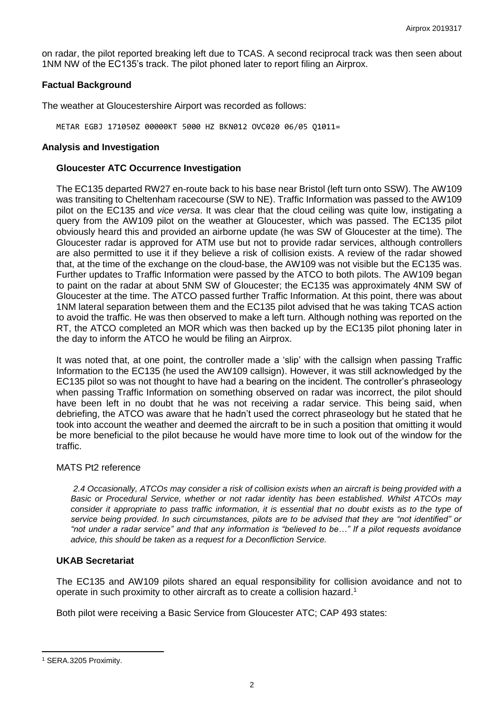on radar, the pilot reported breaking left due to TCAS. A second reciprocal track was then seen about 1NM NW of the EC135's track. The pilot phoned later to report filing an Airprox.

### **Factual Background**

The weather at Gloucestershire Airport was recorded as follows:

METAR EGBJ 171050Z 00000KT 5000 HZ BKN012 OVC020 06/05 Q1011=

### **Analysis and Investigation**

## **Gloucester ATC Occurrence Investigation**

The EC135 departed RW27 en-route back to his base near Bristol (left turn onto SSW). The AW109 was transiting to Cheltenham racecourse (SW to NE). Traffic Information was passed to the AW109 pilot on the EC135 and *vice versa*. It was clear that the cloud ceiling was quite low, instigating a query from the AW109 pilot on the weather at Gloucester, which was passed. The EC135 pilot obviously heard this and provided an airborne update (he was SW of Gloucester at the time). The Gloucester radar is approved for ATM use but not to provide radar services, although controllers are also permitted to use it if they believe a risk of collision exists. A review of the radar showed that, at the time of the exchange on the cloud-base, the AW109 was not visible but the EC135 was. Further updates to Traffic Information were passed by the ATCO to both pilots. The AW109 began to paint on the radar at about 5NM SW of Gloucester; the EC135 was approximately 4NM SW of Gloucester at the time. The ATCO passed further Traffic Information. At this point, there was about 1NM lateral separation between them and the EC135 pilot advised that he was taking TCAS action to avoid the traffic. He was then observed to make a left turn. Although nothing was reported on the RT, the ATCO completed an MOR which was then backed up by the EC135 pilot phoning later in the day to inform the ATCO he would be filing an Airprox.

It was noted that, at one point, the controller made a 'slip' with the callsign when passing Traffic Information to the EC135 (he used the AW109 callsign). However, it was still acknowledged by the EC135 pilot so was not thought to have had a bearing on the incident. The controller's phraseology when passing Traffic Information on something observed on radar was incorrect, the pilot should have been left in no doubt that he was not receiving a radar service. This being said, when debriefing, the ATCO was aware that he hadn't used the correct phraseology but he stated that he took into account the weather and deemed the aircraft to be in such a position that omitting it would be more beneficial to the pilot because he would have more time to look out of the window for the traffic.

#### MATS Pt2 reference

*2.4 Occasionally, ATCOs may consider a risk of collision exists when an aircraft is being provided with a Basic or Procedural Service, whether or not radar identity has been established. Whilst ATCOs may consider it appropriate to pass traffic information, it is essential that no doubt exists as to the type of service being provided. In such circumstances, pilots are to be advised that they are "not identified" or "not under a radar service" and that any information is "believed to be…" If a pilot requests avoidance advice, this should be taken as a request for a Deconfliction Service.*

# **UKAB Secretariat**

The EC135 and AW109 pilots shared an equal responsibility for collision avoidance and not to operate in such proximity to other aircraft as to create a collision hazard.<sup>1</sup>

Both pilot were receiving a Basic Service from Gloucester ATC; CAP 493 states:

 $\overline{\phantom{a}}$ 

<sup>1</sup> SERA.3205 Proximity.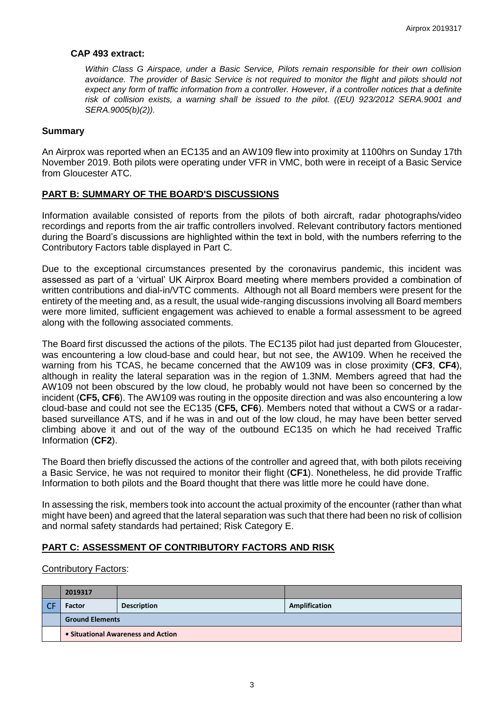## **CAP 493 extract:**

*Within Class G Airspace, under a Basic Service, Pilots remain responsible for their own collision avoidance. The provider of Basic Service is not required to monitor the flight and pilots should not expect any form of traffic information from a controller. However, if a controller notices that a definite risk of collision exists, a warning shall be issued to the pilot. ((EU) 923/2012 SERA.9001 and SERA.9005(b)(2)).*

## **Summary**

An Airprox was reported when an EC135 and an AW109 flew into proximity at 1100hrs on Sunday 17th November 2019. Both pilots were operating under VFR in VMC, both were in receipt of a Basic Service from Gloucester ATC.

## **PART B: SUMMARY OF THE BOARD'S DISCUSSIONS**

Information available consisted of reports from the pilots of both aircraft, radar photographs/video recordings and reports from the air traffic controllers involved. Relevant contributory factors mentioned during the Board's discussions are highlighted within the text in bold, with the numbers referring to the Contributory Factors table displayed in Part C.

Due to the exceptional circumstances presented by the coronavirus pandemic, this incident was assessed as part of a 'virtual' UK Airprox Board meeting where members provided a combination of written contributions and dial-in/VTC comments. Although not all Board members were present for the entirety of the meeting and, as a result, the usual wide-ranging discussions involving all Board members were more limited, sufficient engagement was achieved to enable a formal assessment to be agreed along with the following associated comments.

The Board first discussed the actions of the pilots. The EC135 pilot had just departed from Gloucester, was encountering a low cloud-base and could hear, but not see, the AW109. When he received the warning from his TCAS, he became concerned that the AW109 was in close proximity (**CF3**, **CF4**), although in reality the lateral separation was in the region of 1.3NM. Members agreed that had the AW109 not been obscured by the low cloud, he probably would not have been so concerned by the incident (**CF5, CF6**). The AW109 was routing in the opposite direction and was also encountering a low cloud-base and could not see the EC135 (**CF5, CF6**). Members noted that without a CWS or a radarbased surveillance ATS, and if he was in and out of the low cloud, he may have been better served climbing above it and out of the way of the outbound EC135 on which he had received Traffic Information (**CF2**).

The Board then briefly discussed the actions of the controller and agreed that, with both pilots receiving a Basic Service, he was not required to monitor their flight (**CF1**). Nonetheless, he did provide Traffic Information to both pilots and the Board thought that there was little more he could have done.

In assessing the risk, members took into account the actual proximity of the encounter (rather than what might have been) and agreed that the lateral separation was such that there had been no risk of collision and normal safety standards had pertained; Risk Category E.

## **PART C: ASSESSMENT OF CONTRIBUTORY FACTORS AND RISK**

Contributory Factors:

| 2019317                            |                    |               |  |  |
|------------------------------------|--------------------|---------------|--|--|
| <b>Factor</b>                      | <b>Description</b> | Amplification |  |  |
| <b>Ground Elements</b>             |                    |               |  |  |
| • Situational Awareness and Action |                    |               |  |  |